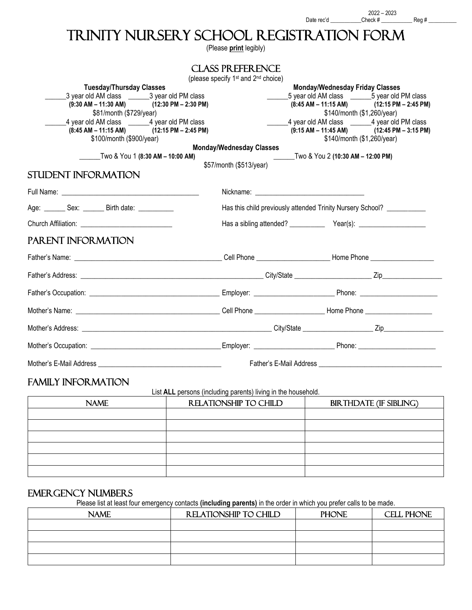## TRINITY NURSERY SCHOOL REGISTRATION FORM

(Please **print** legibly) 

|                                                                                    | <b>CLASS PREFERENCE</b>                                     |                                                                                                    |  |  |
|------------------------------------------------------------------------------------|-------------------------------------------------------------|----------------------------------------------------------------------------------------------------|--|--|
|                                                                                    | (please specify 1 <sup>st</sup> and 2 <sup>nd</sup> choice) |                                                                                                    |  |  |
| <b>Tuesday/Thursday Classes</b><br>3 year old AM class ________3 year old PM class |                                                             | <b>Monday/Wednesday Friday Classes</b>                                                             |  |  |
| $(9:30 \text{ AM} - 11:30 \text{ AM})$ $(12:30 \text{ PM} - 2:30 \text{ PM})$      |                                                             | _5 year old AM class _________5 year old PM class<br>$(8:45 AM - 11:15 AM)$ $(12:15 PM - 2:45 PM)$ |  |  |
| \$81/month (\$729/year)                                                            |                                                             | \$140/month (\$1,260/year)                                                                         |  |  |
| 4 year old AM class _______4 year old PM class                                     |                                                             | 4 year old AM class _______4 year old PM class                                                     |  |  |
| $(8:45 \text{ AM} - 11:15 \text{ AM})$ $(12:15 \text{ PM} - 2:45 \text{ PM})$      |                                                             | $(9:15 AM - 11:45 AM)$ $(12:45 PM - 3:15 PM)$                                                      |  |  |
| \$100/month (\$900/year)                                                           |                                                             | \$140/month (\$1,260/year)                                                                         |  |  |
|                                                                                    | <b>Monday/Wednesday Classes</b>                             |                                                                                                    |  |  |
| __Two & You 1 (8:30 AM – 10:00 AM)                                                 |                                                             | Two & You 2 (10:30 AM - 12:00 PM)                                                                  |  |  |
|                                                                                    | \$57/month (\$513/year)                                     |                                                                                                    |  |  |
| STUDENT INFORMATION                                                                |                                                             |                                                                                                    |  |  |
|                                                                                    |                                                             |                                                                                                    |  |  |
| Age: ________ Sex: _______ Birth date: ___________                                 |                                                             | Has this child previously attended Trinity Nursery School? _____________________                   |  |  |
|                                                                                    |                                                             |                                                                                                    |  |  |
| PARENT INFORMATION                                                                 |                                                             |                                                                                                    |  |  |
|                                                                                    |                                                             |                                                                                                    |  |  |
|                                                                                    |                                                             |                                                                                                    |  |  |
|                                                                                    |                                                             |                                                                                                    |  |  |
|                                                                                    |                                                             |                                                                                                    |  |  |
|                                                                                    |                                                             |                                                                                                    |  |  |
|                                                                                    |                                                             |                                                                                                    |  |  |
|                                                                                    |                                                             |                                                                                                    |  |  |

## FAMILY INFORMATION

List **ALL** persons (including parents) living in the household.

| <b>NAME</b> | RELATIONSHIP TO CHILD | <b>BIRTHDATE (IF SIBLING)</b> |  |
|-------------|-----------------------|-------------------------------|--|
|             |                       |                               |  |
|             |                       |                               |  |
|             |                       |                               |  |
|             |                       |                               |  |
|             |                       |                               |  |
|             |                       |                               |  |
|             |                       |                               |  |

## EMERGENCY NUMBERS

Please list at least four emergency contacts **(including parents)** in the order in which you prefer calls to be made.

| <b>NAME</b> | RELATIONSHIP TO CHILD | <b>PHONE</b> | CELL PHONE |
|-------------|-----------------------|--------------|------------|
|             |                       |              |            |
|             |                       |              |            |
|             |                       |              |            |
|             |                       |              |            |
|             |                       |              |            |